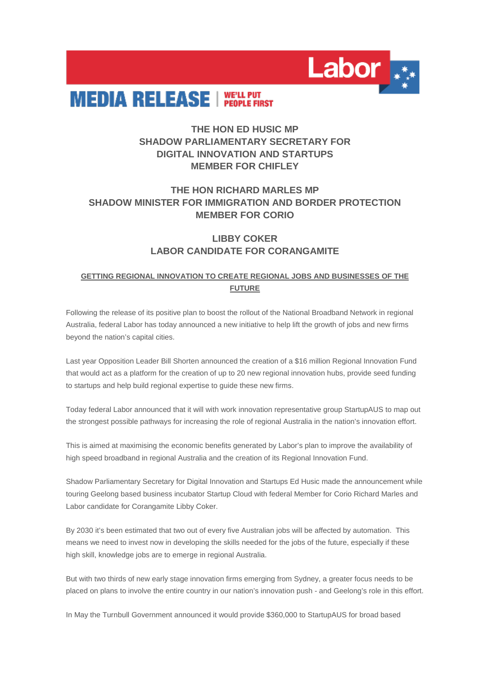



# **THE HON ED HUSIC MP SHADOW PARLIAMENTARY SECRETARY FOR DIGITAL INNOVATION AND STARTUPS MEMBER FOR CHIFLEY**

## **THE HON RICHARD MARLES MP SHADOW MINISTER FOR IMMIGRATION AND BORDER PROTECTION MEMBER FOR CORIO**

### **LIBBY COKER LABOR CANDIDATE FOR CORANGAMITE**

### **GETTING REGIONAL INNOVATION TO CREATE REGIONAL JOBS AND BUSINESSES OF THE FUTURE**

Following the release of its positive plan to boost the rollout of the National Broadband Network in regional Australia, federal Labor has today announced a new initiative to help lift the growth of jobs and new firms beyond the nation's capital cities.

Last year Opposition Leader Bill Shorten announced the creation of a \$16 million Regional Innovation Fund that would act as a platform for the creation of up to 20 new regional innovation hubs, provide seed funding to startups and help build regional expertise to guide these new firms.

Today federal Labor announced that it will with work innovation representative group StartupAUS to map out the strongest possible pathways for increasing the role of regional Australia in the nation's innovation effort.

This is aimed at maximising the economic benefits generated by Labor's plan to improve the availability of high speed broadband in regional Australia and the creation of its Regional Innovation Fund.

Shadow Parliamentary Secretary for Digital Innovation and Startups Ed Husic made the announcement while touring Geelong based business incubator Startup Cloud with federal Member for Corio Richard Marles and Labor candidate for Corangamite Libby Coker.

By 2030 it's been estimated that two out of every five Australian jobs will be affected by automation. This means we need to invest now in developing the skills needed for the jobs of the future, especially if these high skill, knowledge jobs are to emerge in regional Australia.

But with two thirds of new early stage innovation firms emerging from Sydney, a greater focus needs to be placed on plans to involve the entire country in our nation's innovation push - and Geelong's role in this effort.

In May the Turnbull Government announced it would provide \$360,000 to StartupAUS for broad based